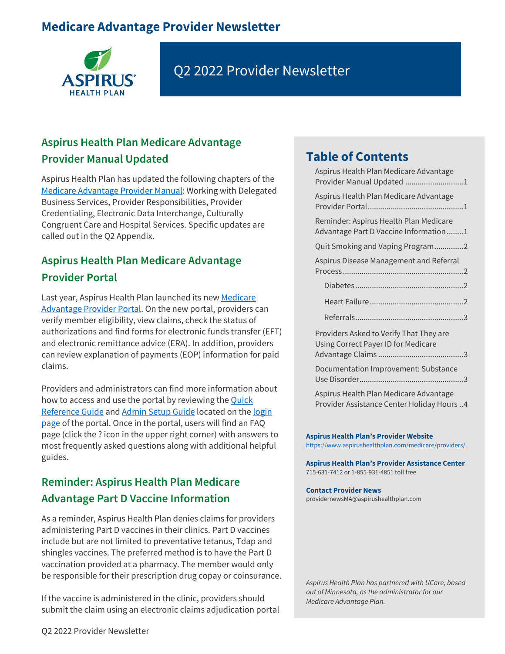# **Medicare Advantage Provider Newsletter**



# Q2 2022 Provider Newsletter

## <span id="page-0-0"></span>**Aspirus Health Plan Medicare Advantage Provider Manual Updated**

Aspirus Health Plan has updated the following chapters of the [Medicare Advantage Provider Manual:](https://www.aspirushealthplan.com/medicare/wp-content/uploads/provider/ahp-provider-manual/AspirusHealthPlanMedicareAdvantagePlansProviderManual.pdf) Working with Delegated Business Services, Provider Responsibilities, Provider Credentialing, Electronic Data Interchange, Culturally Congruent Care and Hospital Services. Specific updates are called out in the Q2 Appendix.

## <span id="page-0-1"></span>**Aspirus Health Plan Medicare Advantage Provider Portal**

Last year, Aspirus Health Plan launched its new Medicare [Advantage Provider Portal.](https://www.aspirushealthplan.com/medicare/providers/login/) On the new portal, providers can verify member eligibility, view claims, check the status of authorizations and find forms for electronic funds transfer (EFT) and electronic remittance advice (ERA). In addition, providers can review explanation of payments (EOP) information for paid claims.

Providers and administrators can find more information about how to access and use the portal by reviewing the **Quick** [Reference Guide](https://www.aspirushealthplan.com/medicare/wp-content/uploads/provider/documents/ProviderPortalQuickReferenceGuide_ASP.pdf) and [Admin Setup Guide](https://www.aspirushealthplan.com/medicare/wp-content/uploads/provider/documents/ProviderPortal_AdminSetupGuide_ASP.pdf) located on the [login](https://www.aspirushealthplan.com/medicare/providers/login/)  [page](https://www.aspirushealthplan.com/medicare/providers/login/) of the portal. Once in the portal, users will find an FAQ page (click the ? icon in the upper right corner) with answers to most frequently asked questions along with additional helpful guides.

## <span id="page-0-2"></span>**Reminder: Aspirus Health Plan Medicare Advantage Part D Vaccine Information**

As a reminder, Aspirus Health Plan denies claims for providers administering Part D vaccines in their clinics. Part D vaccines include but are not limited to preventative tetanus, Tdap and shingles vaccines. The preferred method is to have the Part D vaccination provided at a pharmacy. The member would only be responsible for their prescription drug copay or coinsurance.

If the vaccine is administered in the clinic, providers should submit the claim using an electronic claims adjudication portal

# **Table of Contents**

| Aspirus Health Plan Medicare Advantage<br>Provider Manual Updated 1                 |
|-------------------------------------------------------------------------------------|
| Aspirus Health Plan Medicare Advantage                                              |
| Reminder: Aspirus Health Plan Medicare<br>Advantage Part D Vaccine Information1     |
| Quit Smoking and Vaping Program2                                                    |
| Aspirus Disease Management and Referral                                             |
|                                                                                     |
|                                                                                     |
|                                                                                     |
| Providers Asked to Verify That They are<br>Using Correct Payer ID for Medicare      |
| Documentation Improvement: Substance                                                |
| Aspirus Health Plan Medicare Advantage<br>Provider Assistance Center Holiday Hours4 |

**Aspirus Health Plan's Provider Website** <https://www.aspirushealthplan.com/medicare/providers/>

**Aspirus Health Plan's Provider Assistance Center** 715-631-7412 or 1-855-931-4851 toll free

#### **Contact Provider News**

[providernewsMA@aspirushealthplan.com](mailto:providernewsMA@aspirushealthplan.co)

*Aspirus Health Plan has partnered with UCare, based out of Minnesota, as the administrator for our Medicare Advantage Plan.*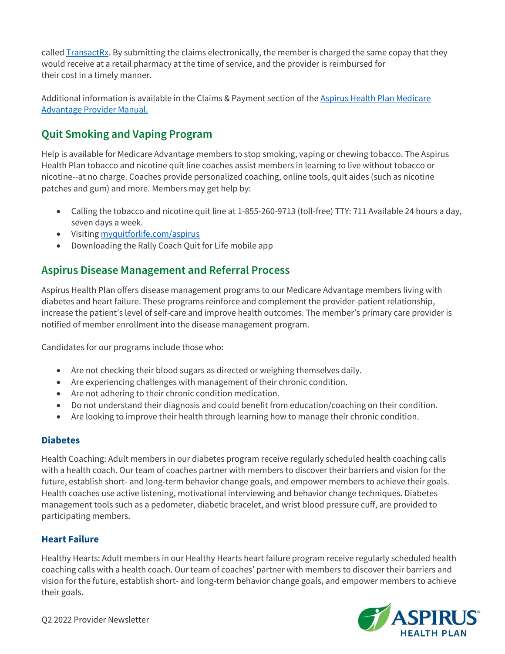called  $TransactRx$ . By submitting the claims electronically, the member is charged the same copay that they would receive at a retail pharmacy at the time of service, and the provider is reimbursed for their cost in a timely manner.

Additional information is available in the Claims & Payment section of the [Aspirus Health Plan Medicare](https://www.aspirushealthplan.com/medicare/wp-content/uploads/provider/ahp-provider-manual/AspirusHealthPlanMedicareAdvantagePlansProviderManual.pdf)  [Advantage Provider Manual.](https://www.aspirushealthplan.com/medicare/wp-content/uploads/provider/ahp-provider-manual/AspirusHealthPlanMedicareAdvantagePlansProviderManual.pdf)

#### <span id="page-1-0"></span>**Quit Smoking and Vaping Program**

Help is available for Medicare Advantage members to stop smoking, vaping or chewing tobacco. The Aspirus Health Plan tobacco and nicotine quit line coaches assist members in learning to live without tobacco or nicotine--at no charge. Coaches provide personalized coaching, online tools, quit aides (such as nicotine patches and gum) and more. Members may get help by:

- Calling the tobacco and nicotine quit line at 1-855-260-9713 (toll-free) TTY: 711 Available 24 hours a day, seven days a week.
- Visitin[g myquitforlife.com/aspirus](http://myquitforlife.com/ucare)
- Downloading the Rally Coach Quit for Life mobile app

#### <span id="page-1-1"></span>**Aspirus Disease Management and Referral Process**

Aspirus Health Plan offers disease management programs to our Medicare Advantage members living with diabetes and heart failure. These programs reinforce and complement the provider-patient relationship, increase the patient's level of self-care and improve health outcomes. The member's primary care provider is notified of member enrollment into the disease management program.

Candidates for our programs include those who:

- Are not checking their blood sugars as directed or weighing themselves daily.
- Are experiencing challenges with management of their chronic condition.
- Are not adhering to their chronic condition medication.
- Do not understand their diagnosis and could benefit from education/coaching on their condition.
- Are looking to improve their health through learning how to manage their chronic condition.

#### <span id="page-1-2"></span>**Diabetes**

Health Coaching: Adult members in our diabetes program receive regularly scheduled health coaching calls with a health coach. Our team of coaches partner with members to discover their barriers and vision for the future, establish short- and long-term behavior change goals, and empower members to achieve their goals. Health coaches use active listening, motivational interviewing and behavior change techniques. Diabetes management tools such as a pedometer, diabetic bracelet, and wrist blood pressure cuff, are provided to participating members.

#### <span id="page-1-3"></span>**Heart Failure**

Healthy Hearts: Adult members in our Healthy Hearts heart failure program receive regularly scheduled health coaching calls with a health coach. Our team of coaches' partner with members to discover their barriers and vision for the future, establish short- and long-term behavior change goals, and empower members to achieve their goals.

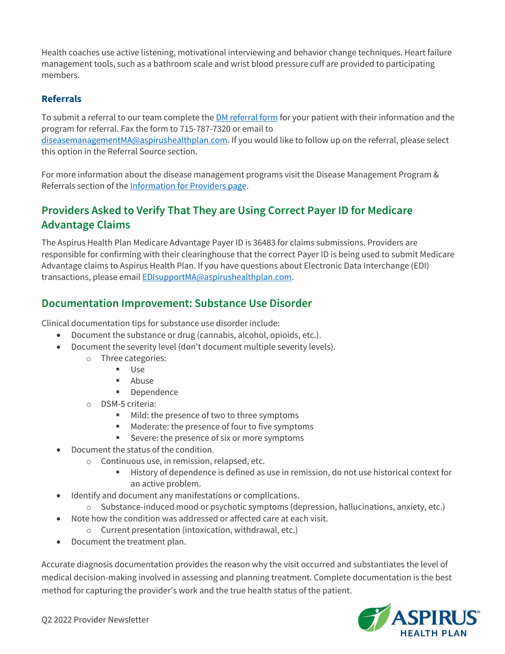Health coaches use active listening, motivational interviewing and behavior change techniques. Heart failure management tools, such as a bathroom scale and wrist blood pressure cuff are provided to participating members.

#### <span id="page-2-0"></span>**Referrals**

To submit a referral to our team complete the **DM referral form** for your patient with their information and the program for referral. Fax the form to 715-787-7320 or email to [diseasemanagementMA@aspirushealthplan.com.](mailto:diseasemanagementMA@aspirushealthplan.com) If you would like to follow up on the referral, please select this option in the Referral Source section.

For more information about the disease management programs visit the Disease Management Program & Referrals section of the [Information for Providers page.](https://www.aspirushealthplan.com/medicare/providers/authorizations/)

### <span id="page-2-1"></span>**Providers Asked to Verify That They are Using Correct Payer ID for Medicare Advantage Claims**

The Aspirus Health Plan Medicare Advantage Payer ID is 36483 for claims submissions. Providers are responsible for confirming with their clearinghouse that the correct Payer ID is being used to submit Medicare Advantage claims to Aspirus Health Plan. If you have questions about Electronic Data Interchange (EDI) transactions, please emai[l EDIsupportMA@aspirushealthplan.com.](mailto:EDIsupportMA@aspirushealthplan.com)

#### <span id="page-2-2"></span>**Documentation Improvement: Substance Use Disorder**

Clinical documentation tips for substance use disorder include:

- Document the substance or drug (cannabis, alcohol, opioids, etc.).
- Document the severity level (don't document multiple severity levels).
	- o Three categories:
		- Use
		- Abuse
		- Dependence
	- o DSM-5 criteria:
		- Mild: the presence of two to three symptoms
		- Moderate: the presence of four to five symptoms
		- Severe: the presence of six or more symptoms
- Document the status of the condition.
	- o Continuous use, in remission, relapsed, etc.
		- History of dependence is defined as use in remission, do not use historical context for an active problem.
- Identify and document any manifestations or complications.
	- o Substance-induced mood or psychotic symptoms (depression, hallucinations, anxiety, etc.)
- Note how the condition was addressed or affected care at each visit.
	- o Current presentation (intoxication, withdrawal, etc.)
- Document the treatment plan.

Accurate diagnosis documentation provides the reason why the visit occurred and substantiates the level of medical decision-making involved in assessing and planning treatment. Complete documentation is the best method for capturing the provider's work and the true health status of the patient.